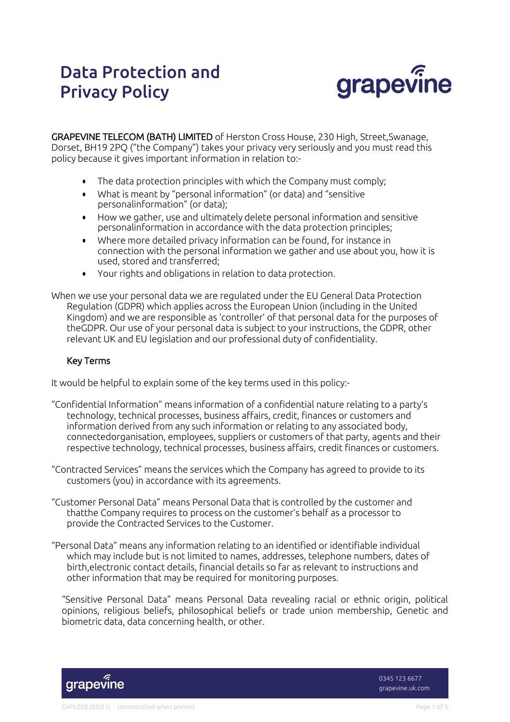# Data Protection and Privacy Policy



GRAPEVINE TELECOM (BATH) LIMITED of Herston Cross House, 230 High, Street,Swanage, Dorset, BH19 2PQ ("the Company") takes your privacy very seriously and you must read this policy because it gives important information in relation to:-

- The data protection principles with which the Company must comply;
- What is meant by "personal information" (or data) and "sensitive personalinformation" (or data);
- How we gather, use and ultimately delete personal information and sensitive personalinformation in accordance with the data protection principles;
- Where more detailed privacy information can be found, for instance in connection with the personal information we gather and use about you, how it is used, stored and transferred;
- Your rights and obligations in relation to data protection.
- When we use your personal data we are regulated under the EU General Data Protection Regulation (GDPR) which applies across the European Union (including in the United Kingdom) and we are responsible as 'controller' of that personal data for the purposes of theGDPR. Our use of your personal data is subject to your instructions, the GDPR, other relevant UK and EU legislation and our professional duty of confidentiality.

## Key Terms

It would be helpful to explain some of the key terms used in this policy:-

- "Confidential Information" means information of a confidential nature relating to a party's technology, technical processes, business affairs, credit, finances or customers and information derived from any such information or relating to any associated body, connectedorganisation, employees, suppliers or customers of that party, agents and their respective technology, technical processes, business affairs, credit finances or customers.
- "Contracted Services" means the services which the Company has agreed to provide to its customers (you) in accordance with its agreements.
- "Customer Personal Data" means Personal Data that is controlled by the customer and thatthe Company requires to process on the customer's behalf as a processor to provide the Contracted Services to the Customer.
- "Personal Data" means any information relating to an identified or identifiable individual which may include but is not limited to names, addresses, telephone numbers, dates of birth,electronic contact details, financial details so far as relevant to instructions and other information that may be required for monitoring purposes.

"Sensitive Personal Data" means Personal Data revealing racial or ethnic origin, political opinions, religious beliefs, philosophical beliefs or trade union membership, Genetic and biometric data, data concerning health, or other.



0345 123 6677 grapevine.uk.com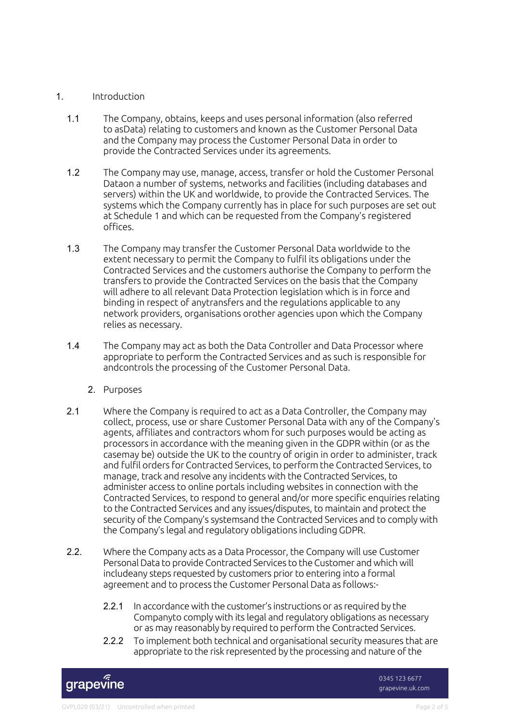## 1. Introduction

- 1.1 The Company, obtains, keeps and uses personal information (also referred to asData) relating to customers and known as the Customer Personal Data and the Company may process the Customer Personal Data in order to provide the Contracted Services under its agreements.
- 1.2 The Company may use, manage, access, transfer or hold the Customer Personal Dataon a number of systems, networks and facilities (including databases and servers) within the UK and worldwide, to provide the Contracted Services. The systems which the Company currently has in place for such purposes are set out at Schedule 1 and which can be requested from the Company's registered offices.
- 1.3 The Company may transfer the Customer Personal Data worldwide to the extent necessary to permit the Company to fulfil its obligations under the Contracted Services and the customers authorise the Company to perform the transfers to provide the Contracted Services on the basis that the Company will adhere to all relevant Data Protection legislation which is in force and binding in respect of anytransfers and the regulations applicable to any network providers, organisations orother agencies upon which the Company relies as necessary.
- 1.4 The Company may act as both the Data Controller and Data Processor where appropriate to perform the Contracted Services and as such is responsible for andcontrols the processing of the Customer Personal Data.
	- 2. Purposes
- 2.1 Where the Company is required to act as a Data Controller, the Company may collect, process, use or share Customer Personal Data with any of the Company's agents, affiliates and contractors whom for such purposes would be acting as processors in accordance with the meaning given in the GDPR within (or as the casemay be) outside the UK to the country of origin in order to administer, track and fulfil orders for Contracted Services, to perform the Contracted Services, to manage, track and resolve any incidents with the Contracted Services, to administer access to online portals including websites in connection with the Contracted Services, to respond to general and/or more specific enquiries relating to the Contracted Services and any issues/disputes, to maintain and protect the security of the Company's systemsand the Contracted Services and to comply with the Company's legal and regulatory obligations including GDPR.
- 2.2. Where the Company acts as a Data Processor, the Company will use Customer Personal Data to provide Contracted Services to the Customer and which will includeany steps requested by customers prior to entering into a formal agreement and to process the Customer Personal Data as follows:-
	- 2.2.1 In accordance with the customer's instructions or as required by the Companyto comply with its legal and regulatory obligations as necessary or as may reasonably by required to perform the Contracted Services.
	- 2.2.2 To implement both technical and organisational security measures that are appropriate to the risk represented by the processing and nature of the

grapevine

0345 123 6677 grapevine.uk.com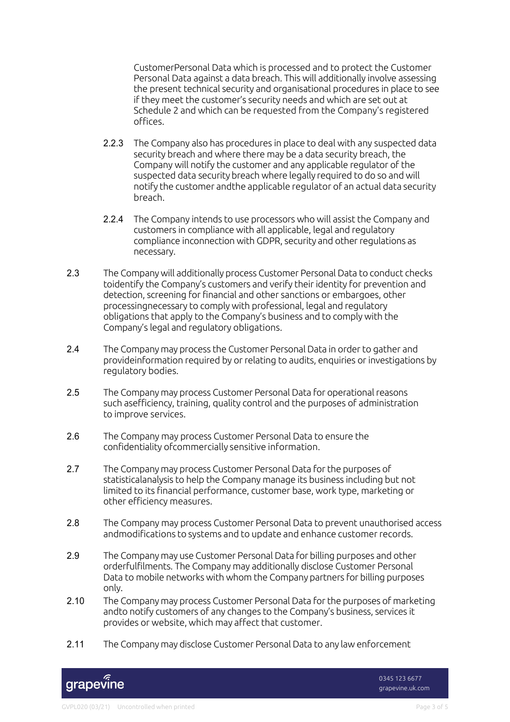CustomerPersonal Data which is processed and to protect the Customer Personal Data against a data breach. This will additionally involve assessing the present technical security and organisational procedures in place to see if they meet the customer's security needs and which are set out at Schedule 2 and which can be requested from the Company's registered offices.

- 2.2.3 The Company also has procedures in place to deal with any suspected data security breach and where there may be a data security breach, the Company will notify the customer and any applicable regulator of the suspected data security breach where legally required to do so and will notify the customer andthe applicable regulator of an actual data security breach.
- 2.2.4 The Company intends to use processors who will assist the Company and customers in compliance with all applicable, legal and regulatory compliance inconnection with GDPR, security and other regulations as necessary.
- 2.3 The Company will additionally process Customer Personal Data to conduct checks toidentify the Company's customers and verify their identity for prevention and detection, screening for financial and other sanctions or embargoes, other processingnecessary to comply with professional, legal and regulatory obligations that apply to the Company's business and to comply with the Company's legal and regulatory obligations.
- 2.4 The Company may process the Customer Personal Data in order to gather and provideinformation required by or relating to audits, enquiries or investigations by regulatory bodies.
- 2.5 The Company may process Customer Personal Data for operational reasons such asefficiency, training, quality control and the purposes of administration to improve services.
- 2.6 The Company may process Customer Personal Data to ensure the confidentiality ofcommercially sensitive information.
- 2.7 The Company may process Customer Personal Data forthe purposes of statisticalanalysis to help the Company manage its business including but not limited to its financial performance, customer base, work type, marketing or other efficiency measures.
- 2.8 The Company may process Customer Personal Data to prevent unauthorised access andmodifications to systems and to update and enhance customer records.
- 2.9 The Company may use Customer Personal Data for billing purposes and other orderfulfilments. The Company may additionally disclose Customer Personal Data to mobile networks with whom the Company partners for billing purposes only.
- 2.10 The Company may process Customer Personal Data for the purposes of marketing andto notify customers of any changes to the Company's business, services it provides or website, which may affect that customer.
- 2.11 The Company may disclose Customer Personal Data to any law enforcement

grapevine

0345 123 6677 grapevine.uk.com

#### GVPL020 (03/21) Uncontrolled when printed example 2 of 5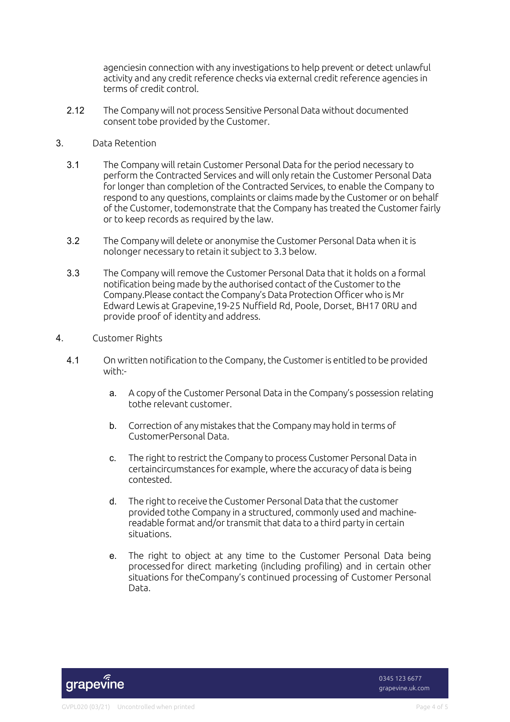agenciesin connection with any investigations to help prevent or detect unlawful activity and any credit reference checks via external credit reference agencies in terms of credit control.

2.12 The Company will not process Sensitive Personal Data without documented consent tobe provided by the Customer.

### 3. Data Retention

- 3.1 The Company will retain Customer Personal Data for the period necessary to perform the Contracted Services and will only retain the Customer Personal Data for longer than completion of the Contracted Services, to enable the Company to respond to any questions, complaints or claims made by the Customer or on behalf of the Customer, todemonstrate that the Company has treated the Customer fairly or to keep records as required by the law.
- 3.2 The Company will delete or anonymise the Customer Personal Data when it is nolonger necessary to retain it subject to 3.3 below.
- 3.3 The Company will remove the Customer Personal Data that it holds on a formal notification being made by the authorised contact of the Customer to the Company.Please contact the Company's Data Protection Officer who is Mr Edward Lewis at Grapevine,19-25 Nuffield Rd, Poole, Dorset, BH17 0RU and provide proof of identity and address.
- 4. Customer Rights
	- 4.1 On written notification to the Company,the Customeris entitled to be provided with:
		- a. A copy of the Customer Personal Data in the Company's possession relating tothe relevant customer.
		- b. Correction of any mistakes that the Company may hold in terms of CustomerPersonal Data.
		- c. The right to restrict the Company to process Customer Personal Data in certaincircumstances for example, where the accuracy of data is being contested.
		- d. The right to receive the Customer Personal Data that the customer provided tothe Company in a structured, commonly used and machinereadable format and/or transmit that data to a third party in certain situations.
		- e. The right to object at any time to the Customer Personal Data being processedfor direct marketing (including profiling) and in certain other situations for theCompany's continued processing of Customer Personal Data.